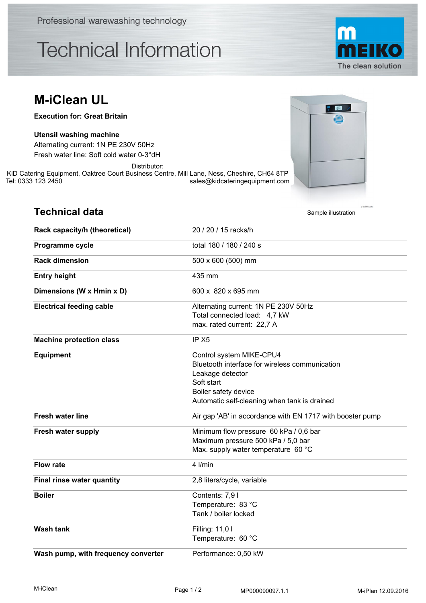Professional warewashing technology

## **Technical Information**



## **M-iClean UL**

**Execution for: Great Britain**

## **Utensil washing machine**

**Technical data**

Fresh water line: Soft cold water 0-3°dH Alternating current: 1N PE 230V 50Hz

Distributor:

KiD Catering Equipment, Oaktree Court Business Centre, Mill Lane, Ness, Cheshire, CH64 8TP<br>sales@kidcateringequipment.com sales@kidcateringequipment.com



| <b>Technical data</b>               | Sample illustration                                       |
|-------------------------------------|-----------------------------------------------------------|
| Rack capacity/h (theoretical)       | 20 / 20 / 15 racks/h                                      |
| Programme cycle                     | total 180 / 180 / 240 s                                   |
| <b>Rack dimension</b>               | 500 x 600 (500) mm                                        |
| <b>Entry height</b>                 | 435 mm                                                    |
| Dimensions (W x Hmin x D)           | 600 x 820 x 695 mm                                        |
| <b>Electrical feeding cable</b>     | Alternating current: 1N PE 230V 50Hz                      |
|                                     | Total connected load: 4,7 kW                              |
|                                     | max. rated current: 22,7 A                                |
| <b>Machine protection class</b>     | IP X <sub>5</sub>                                         |
| <b>Equipment</b>                    | Control system MIKE-CPU4                                  |
|                                     | Bluetooth interface for wireless communication            |
|                                     | Leakage detector                                          |
|                                     | Soft start                                                |
|                                     | Boiler safety device                                      |
|                                     | Automatic self-cleaning when tank is drained              |
| <b>Fresh water line</b>             | Air gap 'AB' in accordance with EN 1717 with booster pump |
| Fresh water supply                  | Minimum flow pressure 60 kPa / 0,6 bar                    |
|                                     | Maximum pressure 500 kPa / 5,0 bar                        |
|                                     | Max. supply water temperature 60 °C                       |
| <b>Flow rate</b>                    | 4 I/min                                                   |
| Final rinse water quantity          | 2,8 liters/cycle, variable                                |
| <b>Boiler</b>                       | Contents: 7,91                                            |
|                                     | Temperature: 83 °C                                        |
|                                     | Tank / boiler locked                                      |
| <b>Wash tank</b>                    | Filling: 11,01                                            |
|                                     | Temperature: 60 °C                                        |
| Wash pump, with frequency converter | Performance: 0,50 kW                                      |